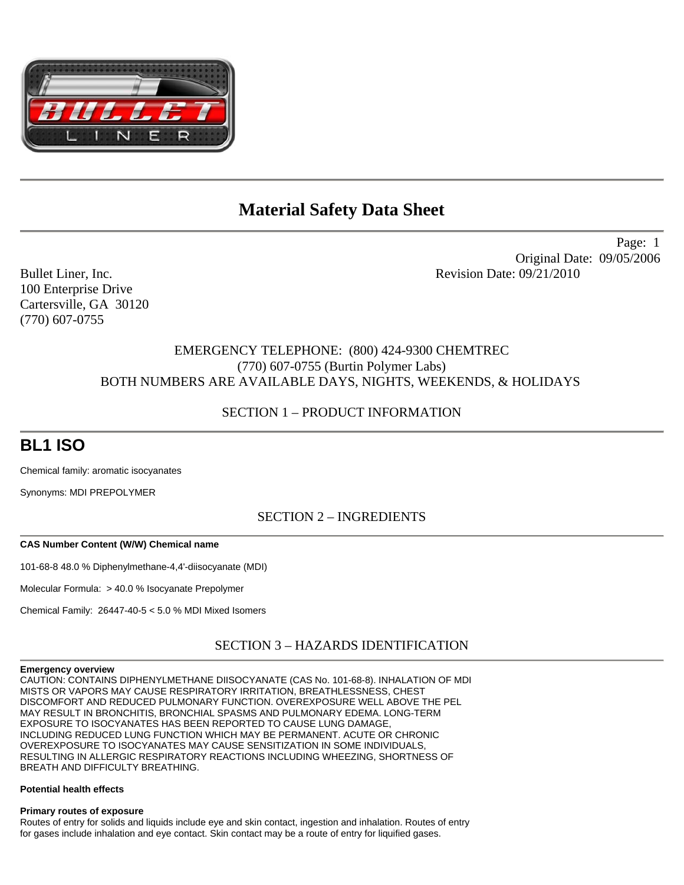

 Page: 1 Original Date: 09/05/2006 Bullet Liner, Inc. **Revision Date: 09/21/2010** 

> EMERGENCY TELEPHONE: (800) 424-9300 CHEMTREC (770) 607-0755 (Burtin Polymer Labs) BOTH NUMBERS ARE AVAILABLE DAYS, NIGHTS, WEEKENDS, & HOLIDAYS

# SECTION 1 – PRODUCT INFORMATION

# **BL1 ISO**

Chemical family: aromatic isocyanates

Synonyms: MDI PREPOLYMER

100 Enterprise Drive Cartersville, GA 30120

(770) 607-0755

SECTION 2 – INGREDIENTS

## **CAS Number Content (W/W) Chemical name**

101-68-8 48.0 % Diphenylmethane-4,4'-diisocyanate (MDI)

Molecular Formula: > 40.0 % Isocyanate Prepolymer

Chemical Family: 26447-40-5 < 5.0 % MDI Mixed Isomers

SECTION 3 – HAZARDS IDENTIFICATION

#### **Emergency overview**

CAUTION: CONTAINS DIPHENYLMETHANE DIISOCYANATE (CAS No. 101-68-8). INHALATION OF MDI MISTS OR VAPORS MAY CAUSE RESPIRATORY IRRITATION, BREATHLESSNESS, CHEST DISCOMFORT AND REDUCED PULMONARY FUNCTION. OVEREXPOSURE WELL ABOVE THE PEL MAY RESULT IN BRONCHITIS, BRONCHIAL SPASMS AND PULMONARY EDEMA. LONG-TERM EXPOSURE TO ISOCYANATES HAS BEEN REPORTED TO CAUSE LUNG DAMAGE, INCLUDING REDUCED LUNG FUNCTION WHICH MAY BE PERMANENT. ACUTE OR CHRONIC OVEREXPOSURE TO ISOCYANATES MAY CAUSE SENSITIZATION IN SOME INDIVIDUALS, RESULTING IN ALLERGIC RESPIRATORY REACTIONS INCLUDING WHEEZING, SHORTNESS OF BREATH AND DIFFICULTY BREATHING.

### **Potential health effects**

## **Primary routes of exposure**

Routes of entry for solids and liquids include eye and skin contact, ingestion and inhalation. Routes of entry for gases include inhalation and eye contact. Skin contact may be a route of entry for liquified gases.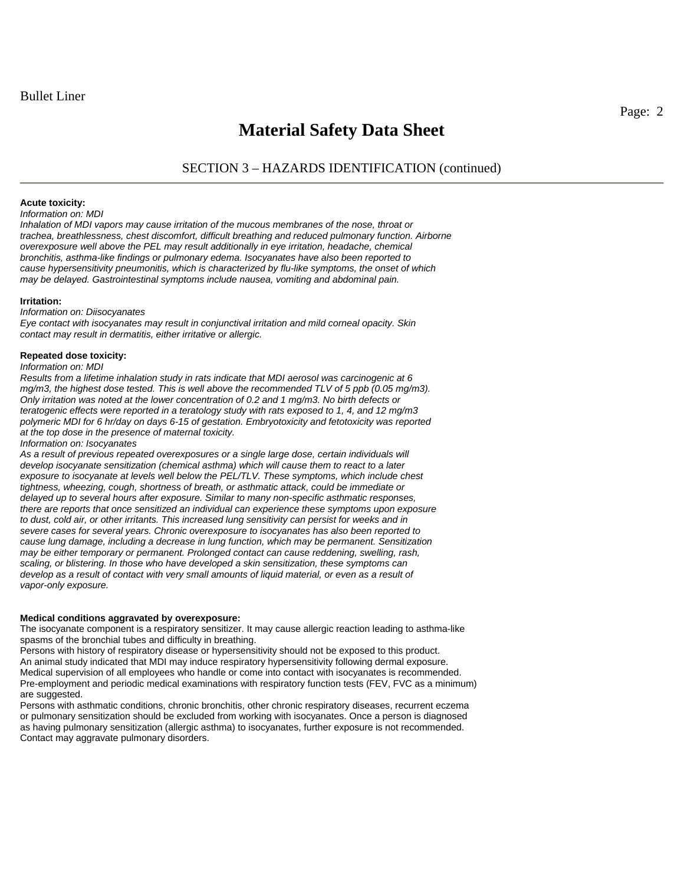## **Acute toxicity:**

#### *Information on: MDI*

*Inhalation of MDI vapors may cause irritation of the mucous membranes of the nose, throat or trachea, breathlessness, chest discomfort, difficult breathing and reduced pulmonary function. Airborne overexposure well above the PEL may result additionally in eye irritation, headache, chemical bronchitis, asthma-like findings or pulmonary edema. Isocyanates have also been reported to cause hypersensitivity pneumonitis, which is characterized by flu-like symptoms, the onset of which may be delayed. Gastrointestinal symptoms include nausea, vomiting and abdominal pain.* 

#### **Irritation:**

### *Information on: Diisocyanates*

*Eye contact with isocyanates may result in conjunctival irritation and mild corneal opacity. Skin contact may result in dermatitis, either irritative or allergic.* 

#### **Repeated dose toxicity:**

#### *Information on: MDI*

*Results from a lifetime inhalation study in rats indicate that MDI aerosol was carcinogenic at 6*  mg/m3, the highest dose tested. This is well above the recommended TLV of 5 ppb (0.05 mg/m3). *Only irritation was noted at the lower concentration of 0.2 and 1 mg/m3. No birth defects or teratogenic effects were reported in a teratology study with rats exposed to 1, 4, and 12 mg/m3 polymeric MDI for 6 hr/day on days 6-15 of gestation. Embryotoxicity and fetotoxicity was reported at the top dose in the presence of maternal toxicity.* 

#### *Information on: Isocyanates*

As a result of previous repeated overexposures or a single large dose, certain individuals will *develop isocyanate sensitization (chemical asthma) which will cause them to react to a later exposure to isocyanate at levels well below the PEL/TLV. These symptoms, which include chest tightness, wheezing, cough, shortness of breath, or asthmatic attack, could be immediate or delayed up to several hours after exposure. Similar to many non-specific asthmatic responses, there are reports that once sensitized an individual can experience these symptoms upon exposure to dust, cold air, or other irritants. This increased lung sensitivity can persist for weeks and in severe cases for several years. Chronic overexposure to isocyanates has also been reported to cause lung damage, including a decrease in lung function, which may be permanent. Sensitization may be either temporary or permanent. Prolonged contact can cause reddening, swelling, rash, scaling, or blistering. In those who have developed a skin sensitization, these symptoms can*  develop as a result of contact with very small amounts of liquid material, or even as a result of *vapor-only exposure.* 

#### **Medical conditions aggravated by overexposure:**

The isocyanate component is a respiratory sensitizer. It may cause allergic reaction leading to asthma-like spasms of the bronchial tubes and difficulty in breathing.

Persons with history of respiratory disease or hypersensitivity should not be exposed to this product. An animal study indicated that MDI may induce respiratory hypersensitivity following dermal exposure. Medical supervision of all employees who handle or come into contact with isocyanates is recommended. Pre-employment and periodic medical examinations with respiratory function tests (FEV, FVC as a minimum) are suggested.

Persons with asthmatic conditions, chronic bronchitis, other chronic respiratory diseases, recurrent eczema or pulmonary sensitization should be excluded from working with isocyanates. Once a person is diagnosed as having pulmonary sensitization (allergic asthma) to isocyanates, further exposure is not recommended. Contact may aggravate pulmonary disorders.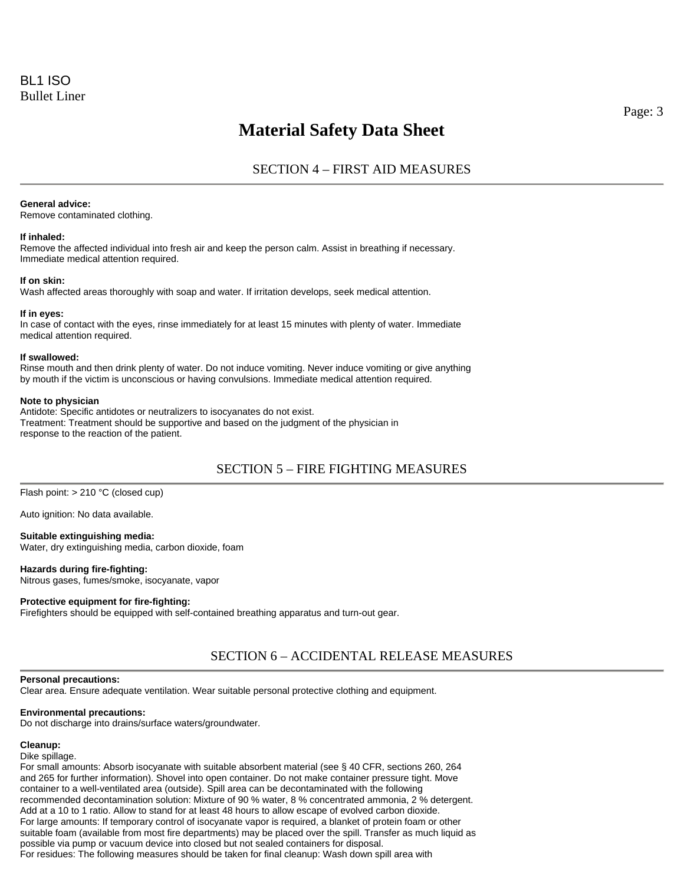# SECTION 4 – FIRST AID MEASURES

## **General advice:**

Remove contaminated clothing.

#### **If inhaled:**

Remove the affected individual into fresh air and keep the person calm. Assist in breathing if necessary. Immediate medical attention required.

#### **If on skin:**

Wash affected areas thoroughly with soap and water. If irritation develops, seek medical attention.

#### **If in eyes:**

In case of contact with the eyes, rinse immediately for at least 15 minutes with plenty of water. Immediate medical attention required.

#### **If swallowed:**

Rinse mouth and then drink plenty of water. Do not induce vomiting. Never induce vomiting or give anything by mouth if the victim is unconscious or having convulsions. Immediate medical attention required.

#### **Note to physician**

Antidote: Specific antidotes or neutralizers to isocyanates do not exist. Treatment: Treatment should be supportive and based on the judgment of the physician in response to the reaction of the patient.

## SECTION 5 – FIRE FIGHTING MEASURES

Flash point: > 210 °C (closed cup)

Auto ignition: No data available.

#### **Suitable extinguishing media:**

Water, dry extinguishing media, carbon dioxide, foam

#### **Hazards during fire-fighting:**

Nitrous gases, fumes/smoke, isocyanate, vapor

## **Protective equipment for fire-fighting:**

Firefighters should be equipped with self-contained breathing apparatus and turn-out gear.

# SECTION 6 – ACCIDENTAL RELEASE MEASURES

#### **Personal precautions:**

Clear area. Ensure adequate ventilation. Wear suitable personal protective clothing and equipment.

#### **Environmental precautions:**

Do not discharge into drains/surface waters/groundwater.

#### **Cleanup:**

Dike spillage.

For small amounts: Absorb isocyanate with suitable absorbent material (see § 40 CFR, sections 260, 264 and 265 for further information). Shovel into open container. Do not make container pressure tight. Move container to a well-ventilated area (outside). Spill area can be decontaminated with the following recommended decontamination solution: Mixture of 90 % water, 8 % concentrated ammonia, 2 % detergent. Add at a 10 to 1 ratio. Allow to stand for at least 48 hours to allow escape of evolved carbon dioxide. For large amounts: If temporary control of isocyanate vapor is required, a blanket of protein foam or other suitable foam (available from most fire departments) may be placed over the spill. Transfer as much liquid as possible via pump or vacuum device into closed but not sealed containers for disposal. For residues: The following measures should be taken for final cleanup: Wash down spill area with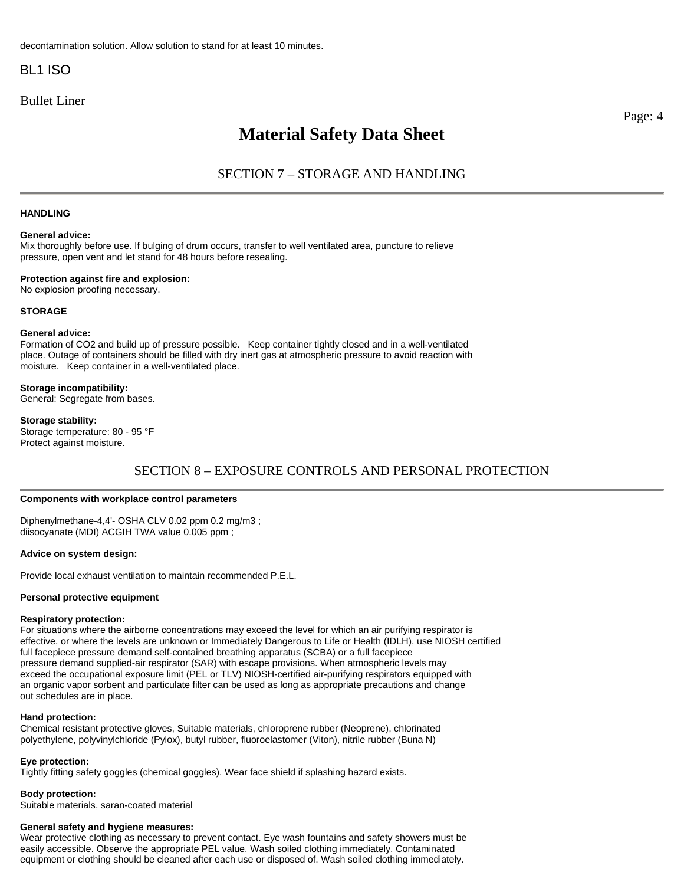## BL1 ISO

Bullet Liner

# **Material Safety Data Sheet**

Page: 4

# SECTION 7 – STORAGE AND HANDLING

#### **HANDLING**

#### **General advice:**

Mix thoroughly before use. If bulging of drum occurs, transfer to well ventilated area, puncture to relieve pressure, open vent and let stand for 48 hours before resealing.

### **Protection against fire and explosion:**

No explosion proofing necessary.

#### **STORAGE**

#### **General advice:**

Formation of CO2 and build up of pressure possible. Keep container tightly closed and in a well-ventilated place. Outage of containers should be filled with dry inert gas at atmospheric pressure to avoid reaction with moisture. Keep container in a well-ventilated place.

### **Storage incompatibility:**

General: Segregate from bases.

#### **Storage stability:**

Storage temperature: 80 - 95 °F Protect against moisture.

## SECTION 8 – EXPOSURE CONTROLS AND PERSONAL PROTECTION

#### **Components with workplace control parameters**

Diphenylmethane-4,4'- OSHA CLV 0.02 ppm 0.2 mg/m3 ; diisocyanate (MDI) ACGIH TWA value 0.005 ppm ;

#### **Advice on system design:**

Provide local exhaust ventilation to maintain recommended P.E.L.

#### **Personal protective equipment**

#### **Respiratory protection:**

For situations where the airborne concentrations may exceed the level for which an air purifying respirator is effective, or where the levels are unknown or Immediately Dangerous to Life or Health (IDLH), use NIOSH certified full facepiece pressure demand self-contained breathing apparatus (SCBA) or a full facepiece pressure demand supplied-air respirator (SAR) with escape provisions. When atmospheric levels may exceed the occupational exposure limit (PEL or TLV) NIOSH-certified air-purifying respirators equipped with an organic vapor sorbent and particulate filter can be used as long as appropriate precautions and change out schedules are in place.

### **Hand protection:**

Chemical resistant protective gloves, Suitable materials, chloroprene rubber (Neoprene), chlorinated polyethylene, polyvinylchloride (Pylox), butyl rubber, fluoroelastomer (Viton), nitrile rubber (Buna N)

#### **Eye protection:**

Tightly fitting safety goggles (chemical goggles). Wear face shield if splashing hazard exists.

#### **Body protection:**

Suitable materials, saran-coated material

#### **General safety and hygiene measures:**

Wear protective clothing as necessary to prevent contact. Eye wash fountains and safety showers must be easily accessible. Observe the appropriate PEL value. Wash soiled clothing immediately. Contaminated equipment or clothing should be cleaned after each use or disposed of. Wash soiled clothing immediately.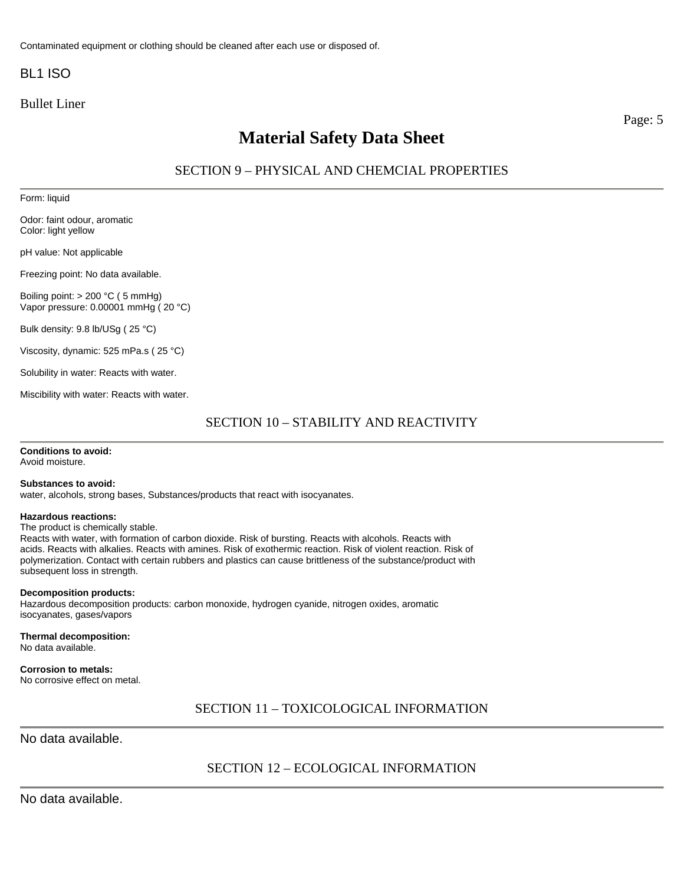Contaminated equipment or clothing should be cleaned after each use or disposed of.

# BL1 ISO

Bullet Liner

# **Material Safety Data Sheet**

Page: 5

## SECTION 9 – PHYSICAL AND CHEMCIAL PROPERTIES

Form: liquid

Odor: faint odour, aromatic Color: light yellow

pH value: Not applicable

Freezing point: No data available.

Boiling point: > 200 °C ( 5 mmHg) Vapor pressure: 0.00001 mmHg ( 20 °C)

Bulk density: 9.8 lb/USg ( 25 °C)

Viscosity, dynamic: 525 mPa.s ( 25 °C)

Solubility in water: Reacts with water.

Miscibility with water: Reacts with water.

## SECTION 10 – STABILITY AND REACTIVITY

**Conditions to avoid:**  Avoid moisture.

#### **Substances to avoid:**

water, alcohols, strong bases, Substances/products that react with isocyanates.

#### **Hazardous reactions:**

The product is chemically stable.

Reacts with water, with formation of carbon dioxide. Risk of bursting. Reacts with alcohols. Reacts with acids. Reacts with alkalies. Reacts with amines. Risk of exothermic reaction. Risk of violent reaction. Risk of polymerization. Contact with certain rubbers and plastics can cause brittleness of the substance/product with subsequent loss in strength.

#### **Decomposition products:**

Hazardous decomposition products: carbon monoxide, hydrogen cyanide, nitrogen oxides, aromatic isocyanates, gases/vapors

**Thermal decomposition:**  No data available.

## **Corrosion to metals:**

No corrosive effect on metal.

## SECTION 11 – TOXICOLOGICAL INFORMATION

No data available.

## SECTION 12 – ECOLOGICAL INFORMATION

No data available.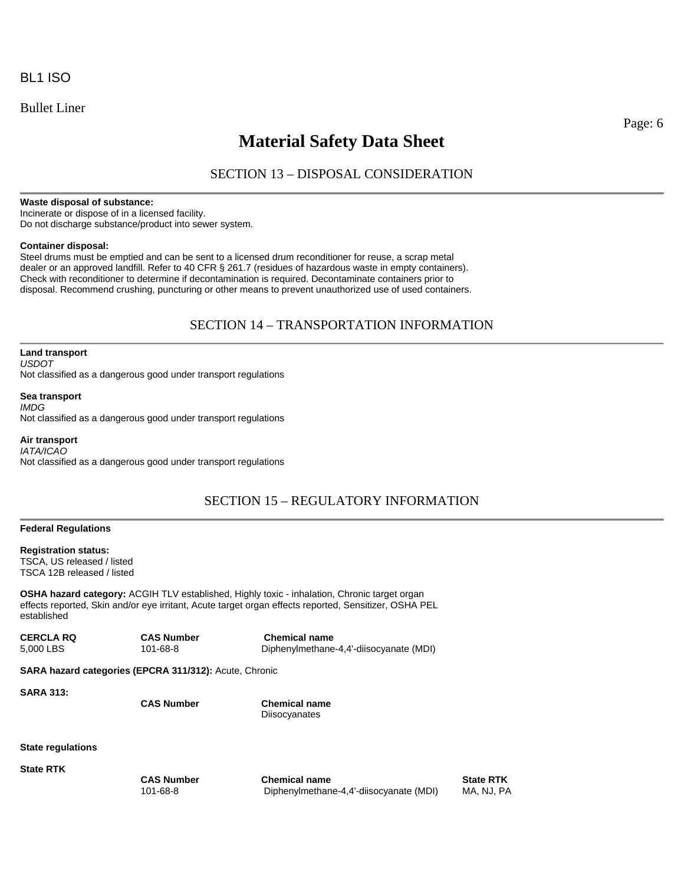Bullet Liner

# **Material Safety Data Sheet**

SECTION 13 – DISPOSAL CONSIDERATION

## **Waste disposal of substance:**

Incinerate or dispose of in a licensed facility. Do not discharge substance/product into sewer system.

### **Container disposal:**

Steel drums must be emptied and can be sent to a licensed drum reconditioner for reuse, a scrap metal dealer or an approved landfill. Refer to 40 CFR § 261.7 (residues of hazardous waste in empty containers). Check with reconditioner to determine if decontamination is required. Decontaminate containers prior to disposal. Recommend crushing, puncturing or other means to prevent unauthorized use of used containers.

## SECTION 14 – TRANSPORTATION INFORMATION

#### **Land transport**  *USDOT*

Not classified as a dangerous good under transport regulations

#### **Sea transport**

*IMDG*  Not classified as a dangerous good under transport regulations

## **Air transport**

*IATA/ICAO*  Not classified as a dangerous good under transport regulations

# SECTION 15 – REGULATORY INFORMATION

#### **Federal Regulations**

**Registration status:**  TSCA, US released / listed TSCA 12B released / listed

**OSHA hazard category:** ACGIH TLV established, Highly toxic - inhalation, Chronic target organ effects reported, Skin and/or eye irritant, Acute target organ effects reported, Sensitizer, OSHA PEL established

| <b>CERCLA RQ</b> | <b>CAS Number</b>                                             | <b>Chemical name</b>                    |
|------------------|---------------------------------------------------------------|-----------------------------------------|
| 5,000 LBS        | 101-68-8                                                      | Diphenylmethane-4,4'-diisocyanate (MDI) |
|                  | <b>SARA hazard categories (EPCRA 311/312):</b> Acute, Chronic |                                         |
| <b>SARA 313:</b> |                                                               |                                         |
|                  | <b>CAS Number</b>                                             | <b>Chemical name</b>                    |
|                  |                                                               | Diisocyanates                           |

### **State regulations**

**State RTK** 

| <b>CAS Number</b> |  |  |
|-------------------|--|--|
| 101-68-8          |  |  |

**Chemical name State RTK** Diphenylmethane-4,4'-diisocyanate (MDI) MA, NJ, PA